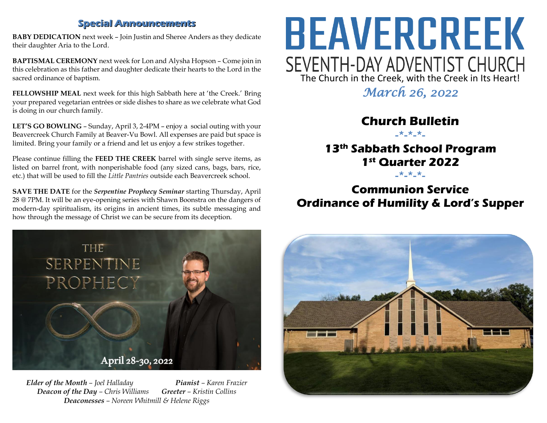#### **Special Announcements**

**BABY DEDICATION** next week – Join Justin and Sheree Anders as they dedicate their daughter Aria to the Lord.

**BAPTISMAL CEREMONY** next week for Lon and Alysha Hopson – Come join in this celebration as this father and daughter dedicate their hearts to the Lord in the sacred ordinance of baptism.

**FELLOWSHIP MEAL** next week for this high Sabbath here at 'the Creek.' Bring your prepared vegetarian entrées or side dishes to share as we celebrate what God is doing in our church family.

**LET'S GO BOWLING** – Sunday, April 3, 2-4PM – enjoy a social outing with your Beavercreek Church Family at Beaver-Vu Bowl. All expenses are paid but space is limited. Bring your family or a friend and let us enjoy a few strikes together.

Please continue filling the **FEED THE CREEK** barrel with single serve items, as listed on barrel front, with nonperishable food (any sized cans, bags, bars, rice, etc.) that will be used to fill the *Little Pantries* outside each Beavercreek school.

**SAVE THE DATE** for the *Serpentine Prophecy Seminar* starting Thursday, April 28 @ 7PM. It will be an eye-opening series with Shawn Boonstra on the dangers of modern-day spiritualism, its origins in ancient times, its subtle messaging and how through the message of Christ we can be secure from its deception.



*Elder of the Month – Joel Halladay Pianist – Karen Frazier Deacon of the Day – Chris Williams Greeter – Kristin Collins Deaconesses – Noreen Whitmill & Helene Riggs*

# BEAVERCREEK SEVENTH-DAY ADVENTIST CHURCH<br>The Church in the Creek, with the Creek in Its Heart!

*March 26, 2022* 

# **Church Bulletin**

-\*-\*-\*-

## **13th Sabbath School Program 1st Quarter 2022**

-\*-\*-\*-

# **Communion Service Ordinance of Humility & Lord's Supper**